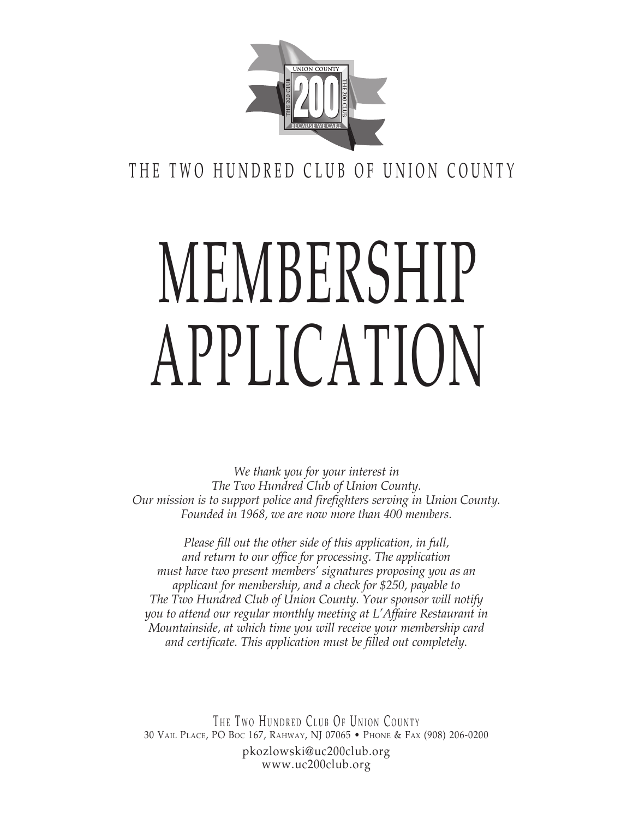

THE TWO HUNDRED CLUB OF UNION COUNTY

## MEMBERSHIP application

*We thank you for your interest in The Two Hundred Club of Union County. Our mission is to support police and firefighters serving in Union County. Founded in 1968, we are now more than 400 members.*

*Please fill out the other side of this application, in full, and return to our office for processing. The application must have two present members' signatures proposing you as an applicant for membership, and a check for \$250, payable to The Two Hundred Club of Union County. Your sponsor will notify you to attend our regular monthly meeting at L'Affaire Restaurant in Mountainside, at which time you will receive your membership card and certificate. This application must be filled out completely.*

THE TWO HUNDRED CLUB OF UNION COUNTY 30 Vail Place, PO Boc 167, Rahway, NJ 07065 • Phone & Fax (908) 206-0200 pkozlowski@uc200club.org www.uc200club.org